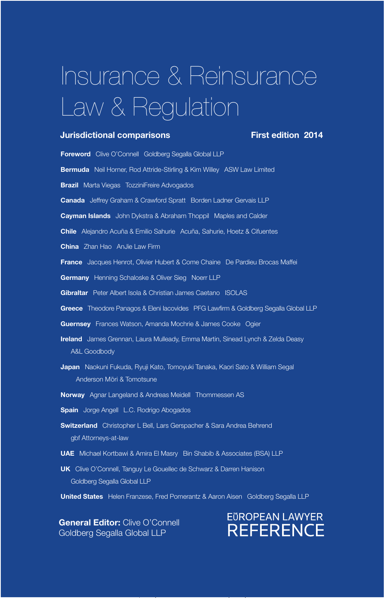# Insurance & Reinsurance Law & Regulation

# **Jurisdictional comparisons** First edition 2014

Foreword Clive O'Connell Goldberg Segalla Global LLP Bermuda Neil Horner, Rod Attride-Stirling & Kim Willey ASW Law Limited **Brazil** Marta Viegas TozziniFreire Advogados Canada Jeffrey Graham & Crawford Spratt Borden Ladner Gervais LLP **Cayman Islands** John Dykstra & Abraham Thoppil Maples and Calder Chile Alejandro Acuña & Emilio Sahurie Acuña, Sahurie, Hoetz & Cifuentes China Zhan Hao AnJie Law Firm **France** Jacques Henrot, Olivier Hubert & Come Chaine De Pardieu Brocas Maffei **Germany** Henning Schaloske & Oliver Sieg Noerr LLP Gibraltar Peter Albert Isola & Christian James Caetano ISOLAS Greece Theodore Panagos & Eleni lacovides PFG Lawfirm & Goldberg Segalla Global LLP Guernsey Frances Watson, Amanda Mochrie & James Cooke Ogier **Ireland** James Grennan, Laura Mulleady, Emma Martin, Sinead Lynch & Zelda Deasy A&L Goodbody Japan Naokuni Fukuda, Ryuji Kato, Tomoyuki Tanaka, Kaori Sato & William Segal Anderson Mōri & Tomotsune Norway Agnar Langeland & Andreas Meidell Thommessen AS **Spain** Jorge Angell L.C. Rodrigo Abogados Switzerland Christopher L Bell, Lars Gerspacher & Sara Andrea Behrend gbf Attorneys-at-law UAE Michael Kortbawi & Amira El Masry Bin Shabib & Associates (BSA) LLP UK Clive O'Connell, Tanguy Le Gouellec de Schwarz & Darren Hanison Goldberg Segalla Global LLP

United States Helen Franzese, Fred Pomerantz & Aaron Aisen Goldberg Segalla LLP

**General Editor: Clive O'Connell** Goldberg Segalla Global LLP

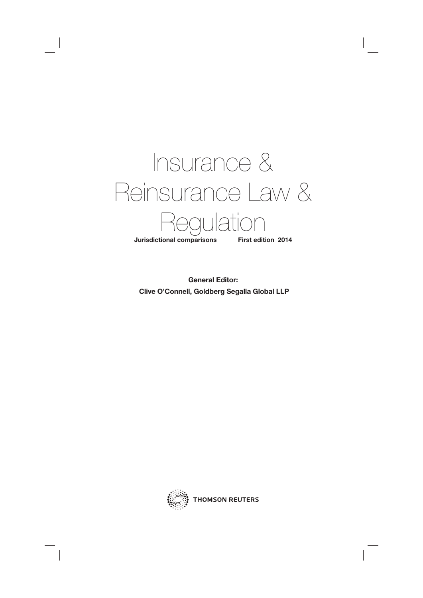

**General Editor: Clive O'Connell, Goldberg Segalla Global LLP**

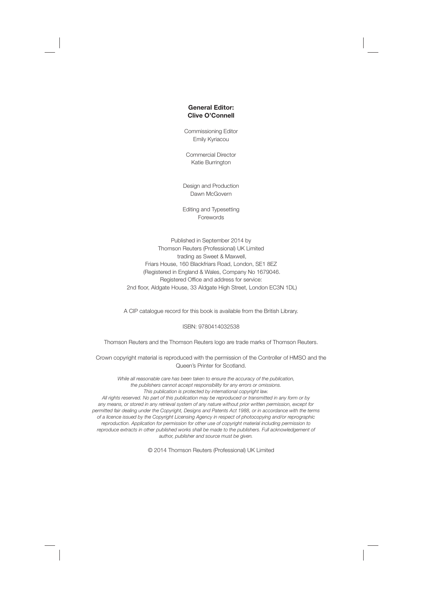#### **General Editor: Clive O'Connell**

Commissioning Editor Emily Kyriacou

Commercial Director Katie Burrington

Design and Production Dawn McGovern

Editing and Typesetting Forewords

Published in September 2014 by Thomson Reuters (Professional) UK Limited trading as Sweet & Maxwell, Friars House, 160 Blackfriars Road, London, SE1 8EZ (Registered in England & Wales, Company No 1679046. Registered Office and address for service: 2nd floor, Aldgate House, 33 Aldgate High Street, London EC3N 1DL)

A CIP catalogue record for this book is available from the British Library.

#### ISBN: 9780414032538

Thomson Reuters and the Thomson Reuters logo are trade marks of Thomson Reuters.

Crown copyright material is reproduced with the permission of the Controller of HMSO and the Queen's Printer for Scotland.

While all reasonable care has been taken to ensure the accuracy of the publication, the publishers cannot accept responsibility for any errors or omissions. This publication is protected by international copyright law.

All rights reserved. No part of this publication may be reproduced or transmitted in any form or by any means, or stored in any retrieval system of any nature without prior written permission, except for permitted fair dealing under the Copyright, Designs and Patents Act 1988, or in accordance with the terms of a licence issued by the Copyright Licensing Agency in respect of photocopying and/or reprographic reproduction. Application for permission for other use of copyright material including permission to reproduce extracts in other published works shall be made to the publishers. Full acknowledgement of author, publisher and source must be given.

© 2014 Thomson Reuters (Professional) UK Limited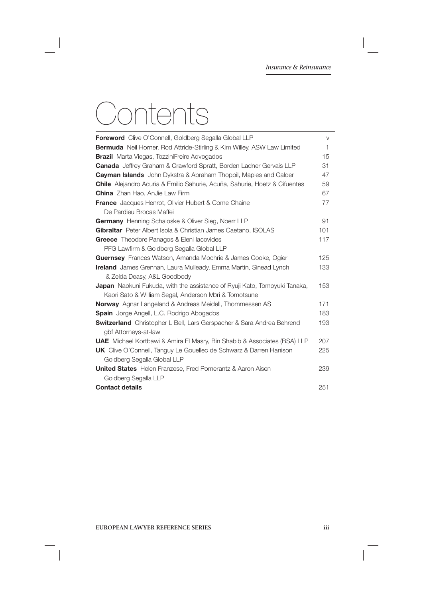# Contents

| <b>Foreword</b> Clive O'Connell, Goldberg Segalla Global LLP                     | V            |
|----------------------------------------------------------------------------------|--------------|
| <b>Bermuda</b> Neil Horner, Rod Attride-Stirling & Kim Willey, ASW Law Limited   | $\mathbf{1}$ |
| <b>Brazil</b> Marta Viegas, TozziniFreire Advogados                              | 15           |
| <b>Canada</b> Jeffrey Graham & Crawford Spratt, Borden Ladner Gervais LLP        | 31           |
| <b>Cayman Islands</b> John Dykstra & Abraham Thoppil, Maples and Calder          | 47           |
| <b>Chile</b> Alejandro Acuña & Emilio Sahurie, Acuña, Sahurie, Hoetz & Cifuentes | 59           |
| <b>China</b> Zhan Hao, AnJie Law Firm                                            | 67           |
| <b>France</b> Jacques Henrot, Olivier Hubert & Come Chaine                       | 77           |
| De Pardieu Brocas Maffei                                                         |              |
| <b>Germany</b> Henning Schaloske & Oliver Sieg, Noerr LLP                        | 91           |
| Gibraltar Peter Albert Isola & Christian James Caetano, ISOLAS                   | 101          |
| <b>Greece</b> Theodore Panagos & Eleni lacovides                                 | 117          |
| PFG Lawfirm & Goldberg Segalla Global LLP                                        |              |
| <b>Guernsey</b> Frances Watson, Amanda Mochrie & James Cooke, Ogier              | 125          |
| <b>Ireland</b> James Grennan, Laura Mulleady, Emma Martin, Sinead Lynch          | 133          |
| & Zelda Deasy, A&L Goodbody                                                      |              |
| <b>Japan</b> Naokuni Fukuda, with the assistance of Ryuji Kato, Tomoyuki Tanaka, | 153          |
| Kaori Sato & William Segal, Anderson Mōri & Tomotsune                            |              |
| <b>Norway</b> Agnar Langeland & Andreas Meidell, Thommessen AS                   | 171          |
| <b>Spain</b> Jorge Angell, L.C. Rodrigo Abogados                                 | 183          |
| <b>Switzerland</b> Christopher L Bell, Lars Gerspacher & Sara Andrea Behrend     | 193          |
| gbf Attorneys-at-law                                                             |              |
| <b>UAE</b> Michael Kortbawi & Amira El Masry, Bin Shabib & Associates (BSA) LLP  | 207          |
| <b>UK</b> Clive O'Connell, Tanguy Le Gouellec de Schwarz & Darren Hanison        | 225          |
| Goldberg Segalla Global LLP                                                      |              |
| <b>United States</b> Helen Franzese, Fred Pomerantz & Aaron Aisen                | 239          |
| Goldberg Segalla LLP                                                             |              |
| <b>Contact details</b>                                                           | 251          |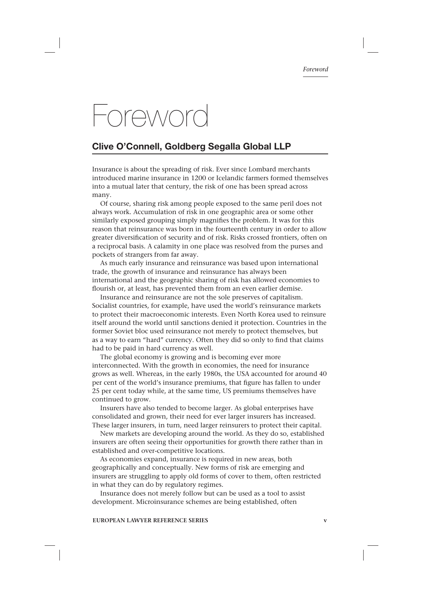# Foreword

# **Clive O'Connell, Goldberg Segalla Global LLP**

Insurance is about the spreading of risk. Ever since Lombard merchants introduced marine insurance in 1200 or Icelandic farmers formed themselves into a mutual later that century, the risk of one has been spread across many.

Of course, sharing risk among people exposed to the same peril does not always work. Accumulation of risk in one geographic area or some other similarly exposed grouping simply magnifies the problem. It was for this reason that reinsurance was born in the fourteenth century in order to allow greater diversification of security and of risk. Risks crossed frontiers, often on a reciprocal basis. A calamity in one place was resolved from the purses and pockets of strangers from far away.

As much early insurance and reinsurance was based upon international trade, the growth of insurance and reinsurance has always been international and the geographic sharing of risk has allowed economies to flourish or, at least, has prevented them from an even earlier demise.

Insurance and reinsurance are not the sole preserves of capitalism. Socialist countries, for example, have used the world's reinsurance markets to protect their macroeconomic interests. Even North Korea used to reinsure itself around the world until sanctions denied it protection. Countries in the former Soviet bloc used reinsurance not merely to protect themselves, but as a way to earn "hard" currency. Often they did so only to find that claims had to be paid in hard currency as well.

The global economy is growing and is becoming ever more interconnected. With the growth in economies, the need for insurance grows as well. Whereas, in the early 1980s, the USA accounted for around 40 per cent of the world's insurance premiums, that figure has fallen to under 25 per cent today while, at the same time, US premiums themselves have continued to grow.

Insurers have also tended to become larger. As global enterprises have consolidated and grown, their need for ever larger insurers has increased. These larger insurers, in turn, need larger reinsurers to protect their capital.

New markets are developing around the world. As they do so, established insurers are often seeing their opportunities for growth there rather than in established and over-competitive locations.

As economies expand, insurance is required in new areas, both geographically and conceptually. New forms of risk are emerging and insurers are struggling to apply old forms of cover to them, often restricted in what they can do by regulatory regimes.

Insurance does not merely follow but can be used as a tool to assist development. Microinsurance schemes are being established, often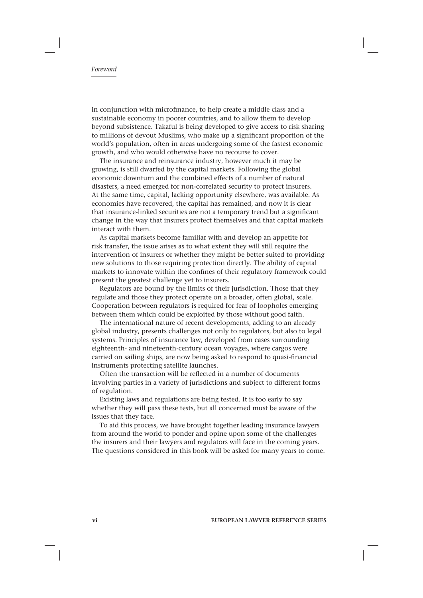in conjunction with microfinance, to help create a middle class and a sustainable economy in poorer countries, and to allow them to develop beyond subsistence. Takaful is being developed to give access to risk sharing to millions of devout Muslims, who make up a significant proportion of the world's population, often in areas undergoing some of the fastest economic growth, and who would otherwise have no recourse to cover.

The insurance and reinsurance industry, however much it may be growing, is still dwarfed by the capital markets. Following the global economic downturn and the combined effects of a number of natural disasters, a need emerged for non-correlated security to protect insurers. At the same time, capital, lacking opportunity elsewhere, was available. As economies have recovered, the capital has remained, and now it is clear that insurance-linked securities are not a temporary trend but a significant change in the way that insurers protect themselves and that capital markets interact with them.

As capital markets become familiar with and develop an appetite for risk transfer, the issue arises as to what extent they will still require the intervention of insurers or whether they might be better suited to providing new solutions to those requiring protection directly. The ability of capital markets to innovate within the confines of their regulatory framework could present the greatest challenge yet to insurers.

Regulators are bound by the limits of their jurisdiction. Those that they regulate and those they protect operate on a broader, often global, scale. Cooperation between regulators is required for fear of loopholes emerging between them which could be exploited by those without good faith.

The international nature of recent developments, adding to an already global industry, presents challenges not only to regulators, but also to legal systems. Principles of insurance law, developed from cases surrounding eighteenth- and nineteenth-century ocean voyages, where cargos were carried on sailing ships, are now being asked to respond to quasi-financial instruments protecting satellite launches.

Often the transaction will be reflected in a number of documents involving parties in a variety of jurisdictions and subject to different forms of regulation.

Existing laws and regulations are being tested. It is too early to say whether they will pass these tests, but all concerned must be aware of the issues that they face.

To aid this process, we have brought together leading insurance lawyers from around the world to ponder and opine upon some of the challenges the insurers and their lawyers and regulators will face in the coming years. The questions considered in this book will be asked for many years to come.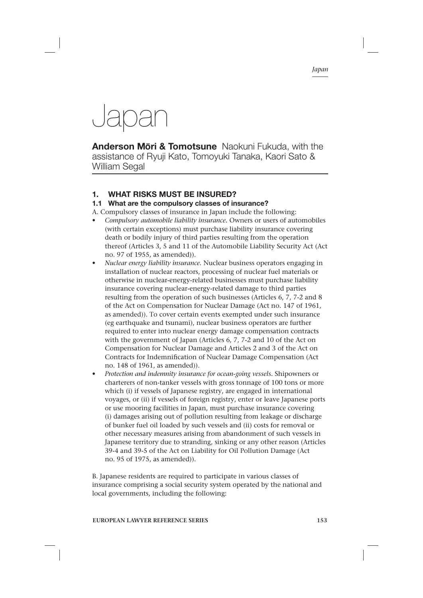# Japan

**Anderson Mōri & Tomotsune** Naokuni Fukuda, with the assistance of Ryuji Kato, Tomoyuki Tanaka, Kaori Sato & William Segal

# **1. WHAT RISKS MUST BE INSURED?**

# **1.1 What are the compulsory classes of insurance?**

- A. Compulsory classes of insurance in Japan include the following:
- *Compulsory automobile liability insurance.* Owners or users of automobiles (with certain exceptions) must purchase liability insurance covering death or bodily injury of third parties resulting from the operation thereof (Articles 3, 5 and 11 of the Automobile Liability Security Act (Act no. 97 of 1955, as amended)).
- *Nuclear energy liability insurance.* Nuclear business operators engaging in installation of nuclear reactors, processing of nuclear fuel materials or otherwise in nuclear-energy-related businesses must purchase liability insurance covering nuclear-energy-related damage to third parties resulting from the operation of such businesses (Articles 6, 7, 7-2 and 8 of the Act on Compensation for Nuclear Damage (Act no. 147 of 1961, as amended)). To cover certain events exempted under such insurance (eg earthquake and tsunami), nuclear business operators are further required to enter into nuclear energy damage compensation contracts with the government of Japan (Articles 6, 7, 7-2 and 10 of the Act on Compensation for Nuclear Damage and Articles 2 and 3 of the Act on Contracts for Indemnification of Nuclear Damage Compensation (Act no. 148 of 1961, as amended)).
- *Protection and indemnity insurance for ocean-going vessels.* Shipowners or charterers of non-tanker vessels with gross tonnage of 100 tons or more which (i) if vessels of Japanese registry, are engaged in international voyages, or (ii) if vessels of foreign registry, enter or leave Japanese ports or use mooring facilities in Japan, must purchase insurance covering (i) damages arising out of pollution resulting from leakage or discharge of bunker fuel oil loaded by such vessels and (ii) costs for removal or other necessary measures arising from abandonment of such vessels in Japanese territory due to stranding, sinking or any other reason (Articles 39-4 and 39-5 of the Act on Liability for Oil Pollution Damage (Act no. 95 of 1975, as amended)).

B. Japanese residents are required to participate in various classes of insurance comprising a social security system operated by the national and local governments, including the following: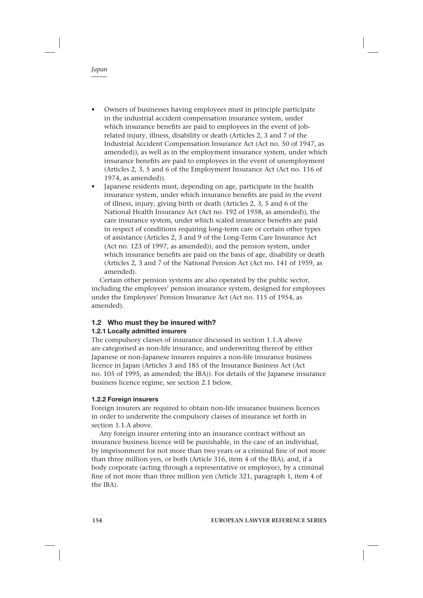- Owners of businesses having employees must in principle participate in the industrial accident compensation insurance system, under which insurance benefits are paid to employees in the event of jobrelated injury, illness, disability or death (Articles 2, 3 and 7 of the Industrial Accident Compensation Insurance Act (Act no. 50 of 1947, as amended)), as well as in the employment insurance system, under which insurance benefits are paid to employees in the event of unemployment (Articles 2, 3, 5 and 6 of the Employment Insurance Act (Act no. 116 of 1974, as amended)).
- Japanese residents must, depending on age, participate in the health insurance system, under which insurance benefits are paid in the event of illness, injury, giving birth or death (Articles 2, 3, 5 and 6 of the National Health Insurance Act (Act no. 192 of 1958, as amended)), the care insurance system, under which scaled insurance benefits are paid in respect of conditions requiring long-term care or certain other types of assistance (Articles 2, 3 and 9 of the Long-Term Care Insurance Act (Act no. 123 of 1997, as amended)), and the pension system, under which insurance benefits are paid on the basis of age, disability or death (Articles 2, 3 and 7 of the National Pension Act (Act no. 141 of 1959, as amended).

Certain other pension systems are also operated by the public sector, including the employees' pension insurance system, designed for employees under the Employees' Pension Insurance Act (Act no. 115 of 1954, as amended).

# **1.2 Who must they be insured with?**

# **1.2.1 Locally admitted insurers**

The compulsory classes of insurance discussed in section 1.1.A above are categorised as non-life insurance, and underwriting thereof by either Japanese or non-Japanese insurers requires a non-life insurance business licence in Japan (Articles 3 and 185 of the Insurance Business Act (Act no. 105 of 1995, as amended; the IBA)). For details of the Japanese insurance business licence regime, see section 2.1 below.

#### **1.2.2 Foreign insurers**

Foreign insurers are required to obtain non-life insurance business licences in order to underwrite the compulsory classes of insurance set forth in section 1.1.A above.

Any foreign insurer entering into an insurance contract without an insurance business licence will be punishable, in the case of an individual, by imprisonment for not more than two years or a criminal fine of not more than three million yen, or both (Article 316, item 4 of the IBA), and, if a body corporate (acting through a representative or employee), by a criminal fine of not more than three million yen (Article 321, paragraph 1, item 4 of the IBA).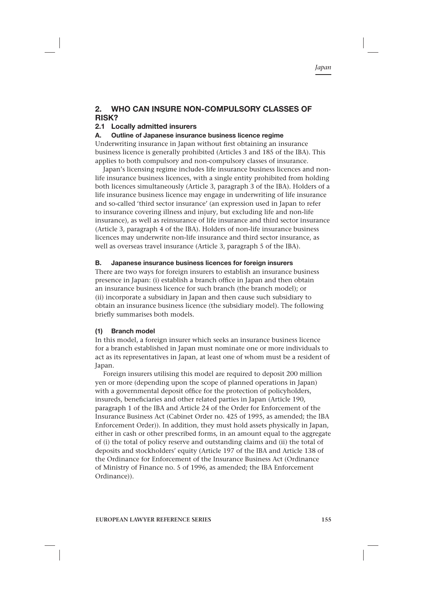# **2. WHO CAN INSURE NON-COMPULSORY CLASSES OF RISK?**

# **2.1 Locally admitted insurers**

#### **A. Outline of Japanese insurance business licence regime**

Underwriting insurance in Japan without first obtaining an insurance business licence is generally prohibited (Articles 3 and 185 of the IBA). This applies to both compulsory and non-compulsory classes of insurance.

Japan's licensing regime includes life insurance business licences and nonlife insurance business licences, with a single entity prohibited from holding both licences simultaneously (Article 3, paragraph 3 of the IBA). Holders of a life insurance business licence may engage in underwriting of life insurance and so-called 'third sector insurance' (an expression used in Japan to refer to insurance covering illness and injury, but excluding life and non-life insurance), as well as reinsurance of life insurance and third sector insurance (Article 3, paragraph 4 of the IBA). Holders of non-life insurance business licences may underwrite non-life insurance and third sector insurance, as well as overseas travel insurance (Article 3, paragraph 5 of the IBA).

### **B. Japanese insurance business licences for foreign insurers**

There are two ways for foreign insurers to establish an insurance business presence in Japan: (i) establish a branch office in Japan and then obtain an insurance business licence for such branch (the branch model); or (ii) incorporate a subsidiary in Japan and then cause such subsidiary to obtain an insurance business licence (the subsidiary model). The following briefly summarises both models.

# **(1) Branch model**

In this model, a foreign insurer which seeks an insurance business licence for a branch established in Japan must nominate one or more individuals to act as its representatives in Japan, at least one of whom must be a resident of Japan.

Foreign insurers utilising this model are required to deposit 200 million yen or more (depending upon the scope of planned operations in Japan) with a governmental deposit office for the protection of policyholders, insureds, beneficiaries and other related parties in Japan (Article 190, paragraph 1 of the IBA and Article 24 of the Order for Enforcement of the Insurance Business Act (Cabinet Order no. 425 of 1995, as amended; the IBA Enforcement Order)). In addition, they must hold assets physically in Japan, either in cash or other prescribed forms, in an amount equal to the aggregate of (i) the total of policy reserve and outstanding claims and (ii) the total of deposits and stockholders' equity (Article 197 of the IBA and Article 138 of the Ordinance for Enforcement of the Insurance Business Act (Ordinance of Ministry of Finance no. 5 of 1996, as amended; the IBA Enforcement Ordinance)).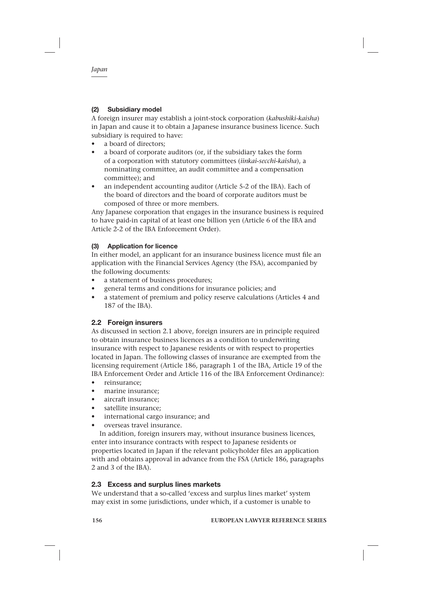# **(2) Subsidiary model**

A foreign insurer may establish a joint-stock corporation (*kabushiki-kaisha*) in Japan and cause it to obtain a Japanese insurance business licence. Such subsidiary is required to have:

- a board of directors:
- a board of corporate auditors (or, if the subsidiary takes the form of a corporation with statutory committees (*iinkai-secchi-kaisha*), a nominating committee, an audit committee and a compensation committee); and
- an independent accounting auditor (Article 5-2 of the IBA). Each of the board of directors and the board of corporate auditors must be composed of three or more members.

Any Japanese corporation that engages in the insurance business is required to have paid-in capital of at least one billion yen (Article 6 of the IBA and Article 2-2 of the IBA Enforcement Order).

# **(3) Application for licence**

In either model, an applicant for an insurance business licence must file an application with the Financial Services Agency (the FSA), accompanied by the following documents:

- a statement of business procedures;
- general terms and conditions for insurance policies; and
- a statement of premium and policy reserve calculations (Articles 4 and 187 of the IBA).

# **2.2 Foreign insurers**

As discussed in section 2.1 above, foreign insurers are in principle required to obtain insurance business licences as a condition to underwriting insurance with respect to Japanese residents or with respect to properties located in Japan. The following classes of insurance are exempted from the licensing requirement (Article 186, paragraph 1 of the IBA, Article 19 of the IBA Enforcement Order and Article 116 of the IBA Enforcement Ordinance):

- reinsurance;
- marine insurance;
- aircraft insurance;
- satellite insurance;
- international cargo insurance; and
- overseas travel insurance.

In addition, foreign insurers may, without insurance business licences, enter into insurance contracts with respect to Japanese residents or properties located in Japan if the relevant policyholder files an application with and obtains approval in advance from the FSA (Article 186, paragraphs 2 and 3 of the IBA).

# **2.3 Excess and surplus lines markets**

We understand that a so-called 'excess and surplus lines market' system may exist in some jurisdictions, under which, if a customer is unable to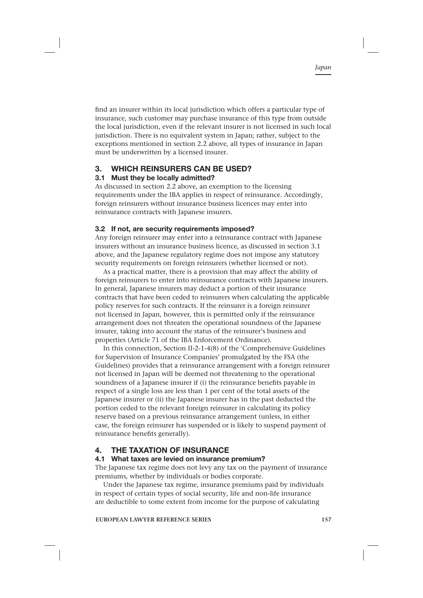find an insurer within its local jurisdiction which offers a particular type of insurance, such customer may purchase insurance of this type from outside the local jurisdiction, even if the relevant insurer is not licensed in such local jurisdiction. There is no equivalent system in Japan; rather, subject to the exceptions mentioned in section 2.2 above, all types of insurance in Japan must be underwritten by a licensed insurer.

# **3. WHICH REINSURERS CAN BE USED?**

### **3.1 Must they be locally admitted?**

As discussed in section 2.2 above, an exemption to the licensing requirements under the IBA applies in respect of reinsurance. Accordingly, foreign reinsurers without insurance business licences may enter into reinsurance contracts with Japanese insurers.

#### **3.2 If not, are security requirements imposed?**

Any foreign reinsurer may enter into a reinsurance contract with Japanese insurers without an insurance business licence, as discussed in section 3.1 above, and the Japanese regulatory regime does not impose any statutory security requirements on foreign reinsurers (whether licensed or not).

As a practical matter, there is a provision that may affect the ability of foreign reinsurers to enter into reinsurance contracts with Japanese insurers. In general, Japanese insurers may deduct a portion of their insurance contracts that have been ceded to reinsurers when calculating the applicable policy reserves for such contracts. If the reinsurer is a foreign reinsurer not licensed in Japan, however, this is permitted only if the reinsurance arrangement does not threaten the operational soundness of the Japanese insurer, taking into account the status of the reinsurer's business and properties (Article 71 of the IBA Enforcement Ordinance).

In this connection, Section II-2-1-4(8) of the 'Comprehensive Guidelines for Supervision of Insurance Companies' promulgated by the FSA (the Guidelines) provides that a reinsurance arrangement with a foreign reinsurer not licensed in Japan will be deemed not threatening to the operational soundness of a Japanese insurer if (i) the reinsurance benefits payable in respect of a single loss are less than 1 per cent of the total assets of the Japanese insurer or (ii) the Japanese insurer has in the past deducted the portion ceded to the relevant foreign reinsurer in calculating its policy reserve based on a previous reinsurance arrangement (unless, in either case, the foreign reinsurer has suspended or is likely to suspend payment of reinsurance benefits generally).

# **4. THE TAXATION OF INSURANCE**

#### **4.1 What taxes are levied on insurance premium?**

The Japanese tax regime does not levy any tax on the payment of insurance premiums, whether by individuals or bodies corporate.

Under the Japanese tax regime, insurance premiums paid by individuals in respect of certain types of social security, life and non-life insurance are deductible to some extent from income for the purpose of calculating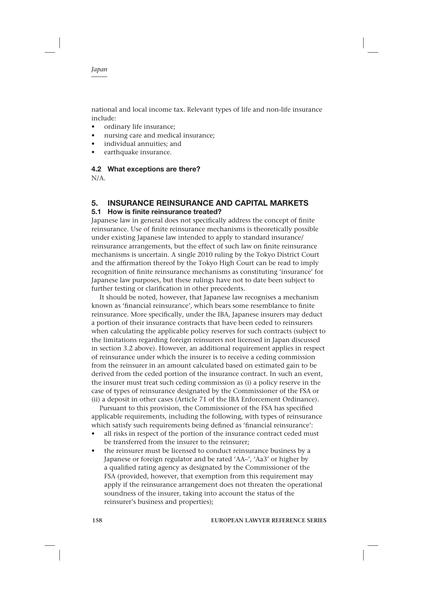national and local income tax. Relevant types of life and non-life insurance include:

- ordinary life insurance;
- nursing care and medical insurance;
- individual annuities; and
- earthquake insurance.

#### **4.2 What exceptions are there?**

N/A.

# **5. INSURANCE REINSURANCE AND CAPITAL MARKETS**

#### **5.1 How is finite reinsurance treated?**

Japanese law in general does not specifically address the concept of finite reinsurance. Use of finite reinsurance mechanisms is theoretically possible under existing Japanese law intended to apply to standard insurance/ reinsurance arrangements, but the effect of such law on finite reinsurance mechanisms is uncertain. A single 2010 ruling by the Tokyo District Court and the affirmation thereof by the Tokyo High Court can be read to imply recognition of finite reinsurance mechanisms as constituting 'insurance' for Japanese law purposes, but these rulings have not to date been subject to further testing or clarification in other precedents.

It should be noted, however, that Japanese law recognises a mechanism known as 'financial reinsurance', which bears some resemblance to finite reinsurance. More specifically, under the IBA, Japanese insurers may deduct a portion of their insurance contracts that have been ceded to reinsurers when calculating the applicable policy reserves for such contracts (subject to the limitations regarding foreign reinsurers not licensed in Japan discussed in section 3.2 above). However, an additional requirement applies in respect of reinsurance under which the insurer is to receive a ceding commission from the reinsurer in an amount calculated based on estimated gain to be derived from the ceded portion of the insurance contract. In such an event, the insurer must treat such ceding commission as (i) a policy reserve in the case of types of reinsurance designated by the Commissioner of the FSA or (ii) a deposit in other cases (Article 71 of the IBA Enforcement Ordinance).

Pursuant to this provision, the Commissioner of the FSA has specified applicable requirements, including the following, with types of reinsurance which satisfy such requirements being defined as 'financial reinsurance':

- all risks in respect of the portion of the insurance contract ceded must be transferred from the insurer to the reinsurer;
- the reinsurer must be licensed to conduct reinsurance business by a Japanese or foreign regulator and be rated 'AA–', 'Aa3' or higher by a qualified rating agency as designated by the Commissioner of the FSA (provided, however, that exemption from this requirement may apply if the reinsurance arrangement does not threaten the operational soundness of the insurer, taking into account the status of the reinsurer's business and properties);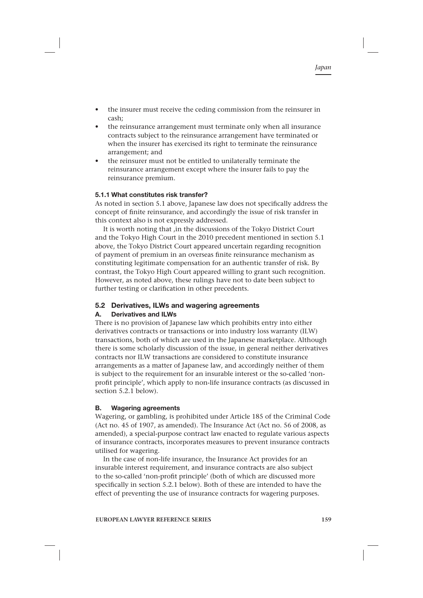- the insurer must receive the ceding commission from the reinsurer in cash;
- the reinsurance arrangement must terminate only when all insurance contracts subject to the reinsurance arrangement have terminated or when the insurer has exercised its right to terminate the reinsurance arrangement; and
- the reinsurer must not be entitled to unilaterally terminate the reinsurance arrangement except where the insurer fails to pay the reinsurance premium.

### **5.1.1 What constitutes risk transfer?**

As noted in section 5.1 above. Japanese law does not specifically address the concept of finite reinsurance, and accordingly the issue of risk transfer in this context also is not expressly addressed.

It is worth noting that ,in the discussions of the Tokyo District Court and the Tokyo High Court in the 2010 precedent mentioned in section 5.1 above, the Tokyo District Court appeared uncertain regarding recognition of payment of premium in an overseas finite reinsurance mechanism as constituting legitimate compensation for an authentic transfer of risk. By contrast, the Tokyo High Court appeared willing to grant such recognition. However, as noted above, these rulings have not to date been subject to further testing or clarification in other precedents.

# **5.2 Derivatives, ILWs and wagering agreements**

#### **A. Derivatives and ILWs**

There is no provision of Japanese law which prohibits entry into either derivatives contracts or transactions or into industry loss warranty (ILW) transactions, both of which are used in the Japanese marketplace. Although there is some scholarly discussion of the issue, in general neither derivatives contracts nor ILW transactions are considered to constitute insurance arrangements as a matter of Japanese law, and accordingly neither of them is subject to the requirement for an insurable interest or the so-called 'nonprofit principle', which apply to non-life insurance contracts (as discussed in section 5.2.1 below).

#### **B. Wagering agreements**

Wagering, or gambling, is prohibited under Article 185 of the Criminal Code (Act no. 45 of 1907, as amended). The Insurance Act (Act no. 56 of 2008, as amended), a special-purpose contract law enacted to regulate various aspects of insurance contracts, incorporates measures to prevent insurance contracts utilised for wagering.

In the case of non-life insurance, the Insurance Act provides for an insurable interest requirement, and insurance contracts are also subject to the so-called 'non-profit principle' (both of which are discussed more specifically in section 5.2.1 below). Both of these are intended to have the effect of preventing the use of insurance contracts for wagering purposes.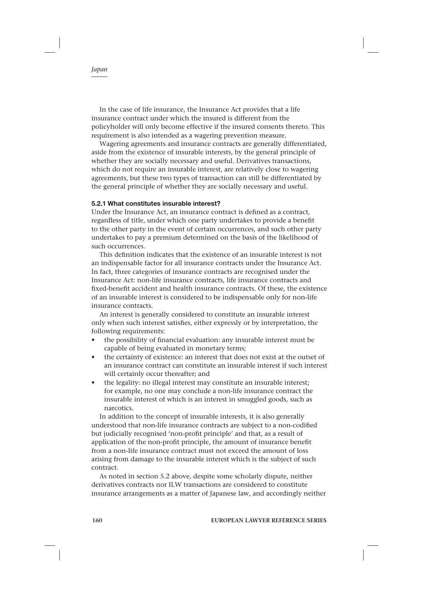In the case of life insurance, the Insurance Act provides that a life insurance contract under which the insured is different from the policyholder will only become effective if the insured consents thereto. This requirement is also intended as a wagering prevention measure.

Wagering agreements and insurance contracts are generally differentiated, aside from the existence of insurable interests, by the general principle of whether they are socially necessary and useful. Derivatives transactions, which do not require an insurable interest, are relatively close to wagering agreements, but these two types of transaction can still be differentiated by the general principle of whether they are socially necessary and useful.

#### **5.2.1 What constitutes insurable interest?**

Under the Insurance Act, an insurance contract is defined as a contract, regardless of title, under which one party undertakes to provide a benefit to the other party in the event of certain occurrences, and such other party undertakes to pay a premium determined on the basis of the likelihood of such occurrences.

This definition indicates that the existence of an insurable interest is not an indispensable factor for all insurance contracts under the Insurance Act. In fact, three categories of insurance contracts are recognised under the Insurance Act: non-life insurance contracts, life insurance contracts and fixed-benefit accident and health insurance contracts. Of these, the existence of an insurable interest is considered to be indispensable only for non-life insurance contracts.

An interest is generally considered to constitute an insurable interest only when such interest satisfies, either expressly or by interpretation, the following requirements:

- the possibility of financial evaluation: any insurable interest must be capable of being evaluated in monetary terms;
- the certainty of existence: an interest that does not exist at the outset of an insurance contract can constitute an insurable interest if such interest will certainly occur thereafter; and
- the legality: no illegal interest may constitute an insurable interest; for example, no one may conclude a non-life insurance contract the insurable interest of which is an interest in smuggled goods, such as narcotics.

In addition to the concept of insurable interests, it is also generally understood that non-life insurance contracts are subject to a non-codified but judicially recognised 'non-profit principle' and that, as a result of application of the non-profit principle, the amount of insurance benefit from a non-life insurance contract must not exceed the amount of loss arising from damage to the insurable interest which is the subject of such contract.

As noted in section 5.2 above, despite some scholarly dispute, neither derivatives contracts nor ILW transactions are considered to constitute insurance arrangements as a matter of Japanese law, and accordingly neither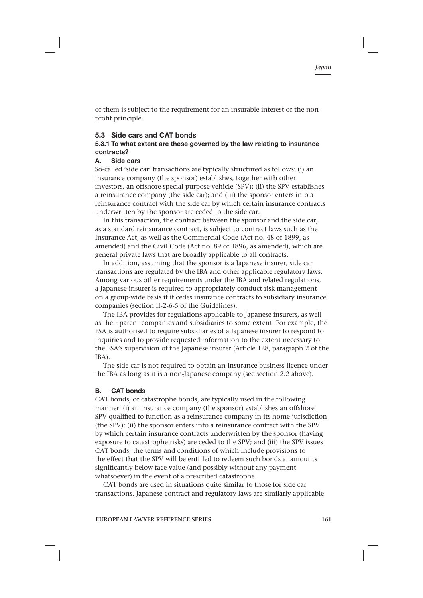of them is subject to the requirement for an insurable interest or the nonprofit principle.

#### **5.3 Side cars and CAT bonds**

### **5.3.1 To what extent are these governed by the law relating to insurance contracts?**

#### **A. Side cars**

So-called 'side car' transactions are typically structured as follows: (i) an insurance company (the sponsor) establishes, together with other investors, an offshore special purpose vehicle (SPV); (ii) the SPV establishes a reinsurance company (the side car); and (iii) the sponsor enters into a reinsurance contract with the side car by which certain insurance contracts underwritten by the sponsor are ceded to the side car.

In this transaction, the contract between the sponsor and the side car, as a standard reinsurance contract, is subject to contract laws such as the Insurance Act, as well as the Commercial Code (Act no. 48 of 1899, as amended) and the Civil Code (Act no. 89 of 1896, as amended), which are general private laws that are broadly applicable to all contracts.

In addition, assuming that the sponsor is a Japanese insurer, side car transactions are regulated by the IBA and other applicable regulatory laws. Among various other requirements under the IBA and related regulations, a Japanese insurer is required to appropriately conduct risk management on a group-wide basis if it cedes insurance contracts to subsidiary insurance companies (section II-2-6-5 of the Guidelines).

The IBA provides for regulations applicable to Japanese insurers, as well as their parent companies and subsidiaries to some extent. For example, the FSA is authorised to require subsidiaries of a Japanese insurer to respond to inquiries and to provide requested information to the extent necessary to the FSA's supervision of the Japanese insurer (Article 128, paragraph 2 of the IBA).

The side car is not required to obtain an insurance business licence under the IBA as long as it is a non-Japanese company (see section 2.2 above).

#### **B. CAT bonds**

CAT bonds, or catastrophe bonds, are typically used in the following manner: (i) an insurance company (the sponsor) establishes an offshore SPV qualified to function as a reinsurance company in its home jurisdiction (the SPV); (ii) the sponsor enters into a reinsurance contract with the SPV by which certain insurance contracts underwritten by the sponsor (having exposure to catastrophe risks) are ceded to the SPV; and (iii) the SPV issues CAT bonds, the terms and conditions of which include provisions to the effect that the SPV will be entitled to redeem such bonds at amounts significantly below face value (and possibly without any payment whatsoever) in the event of a prescribed catastrophe.

CAT bonds are used in situations quite similar to those for side car transactions. Japanese contract and regulatory laws are similarly applicable.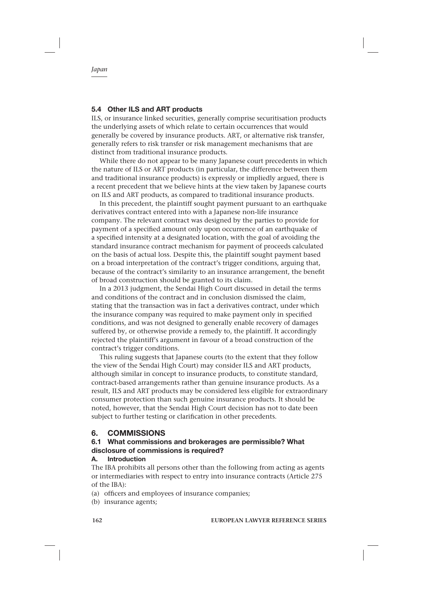### **5.4 Other ILS and ART products**

ILS, or insurance linked securities, generally comprise securitisation products the underlying assets of which relate to certain occurrences that would generally be covered by insurance products. ART, or alternative risk transfer, generally refers to risk transfer or risk management mechanisms that are distinct from traditional insurance products.

While there do not appear to be many Japanese court precedents in which the nature of ILS or ART products (in particular, the difference between them and traditional insurance products) is expressly or impliedly argued, there is a recent precedent that we believe hints at the view taken by Japanese courts on ILS and ART products, as compared to traditional insurance products.

In this precedent, the plaintiff sought payment pursuant to an earthquake derivatives contract entered into with a Japanese non-life insurance company. The relevant contract was designed by the parties to provide for payment of a specified amount only upon occurrence of an earthquake of a specified intensity at a designated location, with the goal of avoiding the standard insurance contract mechanism for payment of proceeds calculated on the basis of actual loss. Despite this, the plaintiff sought payment based on a broad interpretation of the contract's trigger conditions, arguing that, because of the contract's similarity to an insurance arrangement, the benefit of broad construction should be granted to its claim.

In a 2013 judgment, the Sendai High Court discussed in detail the terms and conditions of the contract and in conclusion dismissed the claim, stating that the transaction was in fact a derivatives contract, under which the insurance company was required to make payment only in specified conditions, and was not designed to generally enable recovery of damages suffered by, or otherwise provide a remedy to, the plaintiff. It accordingly rejected the plaintiff's argument in favour of a broad construction of the contract's trigger conditions.

This ruling suggests that Japanese courts (to the extent that they follow the view of the Sendai High Court) may consider ILS and ART products, although similar in concept to insurance products, to constitute standard, contract-based arrangements rather than genuine insurance products. As a result, ILS and ART products may be considered less eligible for extraordinary consumer protection than such genuine insurance products. It should be noted, however, that the Sendai High Court decision has not to date been subject to further testing or clarification in other precedents.

# **6. COMMISSIONS**

### **6.1 What commissions and brokerages are permissible? What disclosure of commissions is required?**

#### **A. Introduction**

The IBA prohibits all persons other than the following from acting as agents or intermediaries with respect to entry into insurance contracts (Article 275 of the IBA):

- (a) officers and employees of insurance companies;
- (b) insurance agents;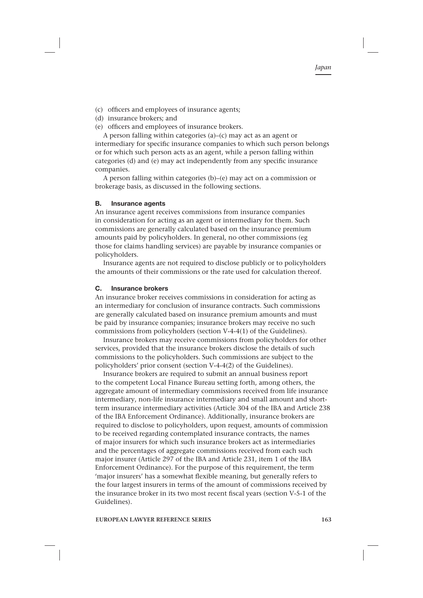- (c) officers and employees of insurance agents;
- (d) insurance brokers; and
- (e) officers and employees of insurance brokers.

A person falling within categories (a)–(c) may act as an agent or intermediary for specific insurance companies to which such person belongs or for which such person acts as an agent, while a person falling within categories (d) and (e) may act independently from any specific insurance companies.

A person falling within categories (b)–(e) may act on a commission or brokerage basis, as discussed in the following sections.

#### **B. Insurance agents**

An insurance agent receives commissions from insurance companies in consideration for acting as an agent or intermediary for them. Such commissions are generally calculated based on the insurance premium amounts paid by policyholders. In general, no other commissions (eg those for claims handling services) are payable by insurance companies or policyholders.

Insurance agents are not required to disclose publicly or to policyholders the amounts of their commissions or the rate used for calculation thereof.

#### **C. Insurance brokers**

An insurance broker receives commissions in consideration for acting as an intermediary for conclusion of insurance contracts. Such commissions are generally calculated based on insurance premium amounts and must be paid by insurance companies; insurance brokers may receive no such commissions from policyholders (section V-4-4(1) of the Guidelines).

Insurance brokers may receive commissions from policyholders for other services, provided that the insurance brokers disclose the details of such commissions to the policyholders. Such commissions are subject to the policyholders' prior consent (section V-4-4(2) of the Guidelines).

Insurance brokers are required to submit an annual business report to the competent Local Finance Bureau setting forth, among others, the aggregate amount of intermediary commissions received from life insurance intermediary, non-life insurance intermediary and small amount and shortterm insurance intermediary activities (Article 304 of the IBA and Article 238 of the IBA Enforcement Ordinance). Additionally, insurance brokers are required to disclose to policyholders, upon request, amounts of commission to be received regarding contemplated insurance contracts, the names of major insurers for which such insurance brokers act as intermediaries and the percentages of aggregate commissions received from each such major insurer (Article 297 of the IBA and Article 231, item 1 of the IBA Enforcement Ordinance). For the purpose of this requirement, the term 'major insurers' has a somewhat flexible meaning, but generally refers to the four largest insurers in terms of the amount of commissions received by the insurance broker in its two most recent fiscal years (section V-5-1 of the Guidelines).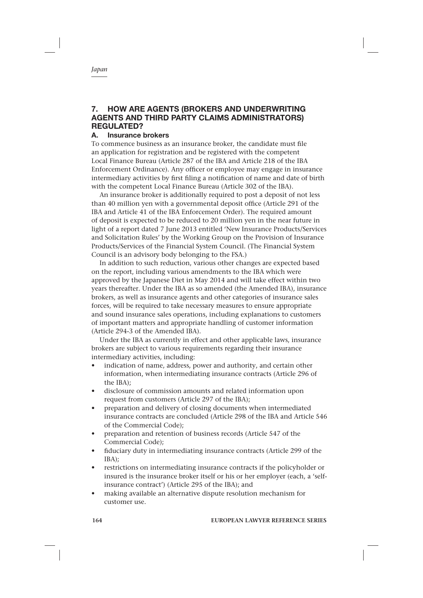# **7. HOW ARE AGENTS (BROKERS AND UNDERWRITING AGENTS AND THIRD PARTY CLAIMS ADMINISTRATORS) REGULATED?**

# **A. Insurance brokers**

To commence business as an insurance broker, the candidate must file an application for registration and be registered with the competent Local Finance Bureau (Article 287 of the IBA and Article 218 of the IBA Enforcement Ordinance). Any officer or employee may engage in insurance intermediary activities by first filing a notification of name and date of birth with the competent Local Finance Bureau (Article 302 of the IBA).

An insurance broker is additionally required to post a deposit of not less than 40 million yen with a governmental deposit office (Article 291 of the IBA and Article 41 of the IBA Enforcement Order). The required amount of deposit is expected to be reduced to 20 million yen in the near future in light of a report dated 7 June 2013 entitled 'New Insurance Products/Services and Solicitation Rules' by the Working Group on the Provision of Insurance Products/Services of the Financial System Council. (The Financial System Council is an advisory body belonging to the FSA.)

In addition to such reduction, various other changes are expected based on the report, including various amendments to the IBA which were approved by the Japanese Diet in May 2014 and will take effect within two years thereafter. Under the IBA as so amended (the Amended IBA), insurance brokers, as well as insurance agents and other categories of insurance sales forces, will be required to take necessary measures to ensure appropriate and sound insurance sales operations, including explanations to customers of important matters and appropriate handling of customer information (Article 294-3 of the Amended IBA).

Under the IBA as currently in effect and other applicable laws, insurance brokers are subject to various requirements regarding their insurance intermediary activities, including:

- indication of name, address, power and authority, and certain other information, when intermediating insurance contracts (Article 296 of the IBA);
- disclosure of commission amounts and related information upon request from customers (Article 297 of the IBA);
- preparation and delivery of closing documents when intermediated insurance contracts are concluded (Article 298 of the IBA and Article 546 of the Commercial Code);
- preparation and retention of business records (Article 547 of the Commercial Code);
- fiduciary duty in intermediating insurance contracts (Article 299 of the IBA);
- restrictions on intermediating insurance contracts if the policyholder or insured is the insurance broker itself or his or her employer (each, a 'selfinsurance contract') (Article 295 of the IBA); and
- making available an alternative dispute resolution mechanism for customer use.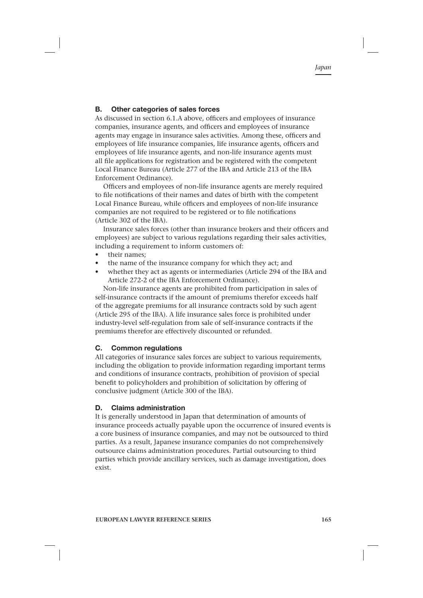#### **B. Other categories of sales forces**

As discussed in section 6.1.A above, officers and employees of insurance companies, insurance agents, and officers and employees of insurance agents may engage in insurance sales activities. Among these, officers and employees of life insurance companies, life insurance agents, officers and employees of life insurance agents, and non-life insurance agents must all file applications for registration and be registered with the competent Local Finance Bureau (Article 277 of the IBA and Article 213 of the IBA Enforcement Ordinance).

Officers and employees of non-life insurance agents are merely required to file notifications of their names and dates of birth with the competent Local Finance Bureau, while officers and employees of non-life insurance companies are not required to be registered or to file notifications (Article 302 of the IBA).

Insurance sales forces (other than insurance brokers and their officers and employees) are subject to various regulations regarding their sales activities, including a requirement to inform customers of:

- their names:
- the name of the insurance company for which they act; and
- whether they act as agents or intermediaries (Article 294 of the IBA and Article 272-2 of the IBA Enforcement Ordinance).

Non-life insurance agents are prohibited from participation in sales of self-insurance contracts if the amount of premiums therefor exceeds half of the aggregate premiums for all insurance contracts sold by such agent (Article 295 of the IBA). A life insurance sales force is prohibited under industry-level self-regulation from sale of self-insurance contracts if the premiums therefor are effectively discounted or refunded.

#### **C. Common regulations**

All categories of insurance sales forces are subject to various requirements, including the obligation to provide information regarding important terms and conditions of insurance contracts, prohibition of provision of special benefit to policyholders and prohibition of solicitation by offering of conclusive judgment (Article 300 of the IBA).

#### **D. Claims administration**

It is generally understood in Japan that determination of amounts of insurance proceeds actually payable upon the occurrence of insured events is a core business of insurance companies, and may not be outsourced to third parties. As a result, Japanese insurance companies do not comprehensively outsource claims administration procedures. Partial outsourcing to third parties which provide ancillary services, such as damage investigation, does exist.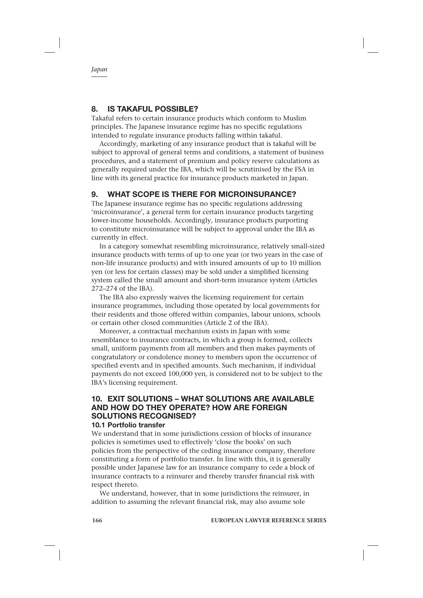# **8. IS TAKAFUL POSSIBLE?**

Takaful refers to certain insurance products which conform to Muslim principles. The Japanese insurance regime has no specific regulations intended to regulate insurance products falling within takaful.

Accordingly, marketing of any insurance product that is takaful will be subject to approval of general terms and conditions, a statement of business procedures, and a statement of premium and policy reserve calculations as generally required under the IBA, which will be scrutinised by the FSA in line with its general practice for insurance products marketed in Japan.

# **9. WHAT SCOPE IS THERE FOR MICROINSURANCE?**

The Japanese insurance regime has no specific regulations addressing 'microinsurance', a general term for certain insurance products targeting lower-income households. Accordingly, insurance products purporting to constitute microinsurance will be subject to approval under the IBA as currently in effect.

In a category somewhat resembling microinsurance, relatively small-sized insurance products with terms of up to one year (or two years in the case of non-life insurance products) and with insured amounts of up to 10 million yen (or less for certain classes) may be sold under a simplified licensing system called the small amount and short-term insurance system (Articles 272–274 of the IBA).

The IBA also expressly waives the licensing requirement for certain insurance programmes, including those operated by local governments for their residents and those offered within companies, labour unions, schools or certain other closed communities (Article 2 of the IBA).

Moreover, a contractual mechanism exists in Japan with some resemblance to insurance contracts, in which a group is formed, collects small, uniform payments from all members and then makes payments of congratulatory or condolence money to members upon the occurrence of specified events and in specified amounts. Such mechanism, if individual payments do not exceed 100,000 yen, is considered not to be subject to the IBA's licensing requirement.

#### **10. EXIT SOLUTIONS – WHAT SOLUTIONS ARE AVAILABLE AND HOW DO THEY OPERATE? HOW ARE FOREIGN SOLUTIONS RECOGNISED? 10.1 Portfolio transfer**

We understand that in some jurisdictions cession of blocks of insurance policies is sometimes used to effectively 'close the books' on such policies from the perspective of the ceding insurance company, therefore constituting a form of portfolio transfer. In line with this, it is generally possible under Japanese law for an insurance company to cede a block of insurance contracts to a reinsurer and thereby transfer financial risk with respect thereto.

We understand, however, that in some jurisdictions the reinsurer, in addition to assuming the relevant financial risk, may also assume sole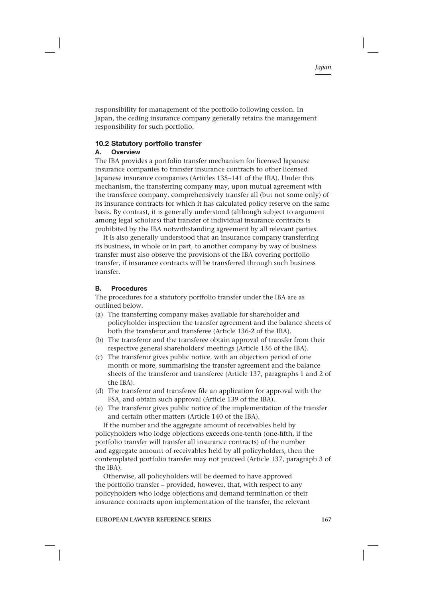responsibility for management of the portfolio following cession. In Japan, the ceding insurance company generally retains the management responsibility for such portfolio.

#### **10.2 Statutory portfolio transfer**

#### **A. Overview**

The IBA provides a portfolio transfer mechanism for licensed Japanese insurance companies to transfer insurance contracts to other licensed Japanese insurance companies (Articles 135–141 of the IBA). Under this mechanism, the transferring company may, upon mutual agreement with the transferee company, comprehensively transfer all (but not some only) of its insurance contracts for which it has calculated policy reserve on the same basis. By contrast, it is generally understood (although subject to argument among legal scholars) that transfer of individual insurance contracts is prohibited by the IBA notwithstanding agreement by all relevant parties.

It is also generally understood that an insurance company transferring its business, in whole or in part, to another company by way of business transfer must also observe the provisions of the IBA covering portfolio transfer, if insurance contracts will be transferred through such business transfer.

#### **B. Procedures**

The procedures for a statutory portfolio transfer under the IBA are as outlined below.

- (a) The transferring company makes available for shareholder and policyholder inspection the transfer agreement and the balance sheets of both the transferor and transferee (Article 136-2 of the IBA).
- (b) The transferor and the transferee obtain approval of transfer from their respective general shareholders' meetings (Article 136 of the IBA).
- (c) The transferor gives public notice, with an objection period of one month or more, summarising the transfer agreement and the balance sheets of the transferor and transferee (Article 137, paragraphs 1 and 2 of the IBA).
- (d) The transferor and transferee file an application for approval with the FSA, and obtain such approval (Article 139 of the IBA).
- (e) The transferor gives public notice of the implementation of the transfer and certain other matters (Article 140 of the IBA).

If the number and the aggregate amount of receivables held by policyholders who lodge objections exceeds one-tenth (one-fifth, if the portfolio transfer will transfer all insurance contracts) of the number and aggregate amount of receivables held by all policyholders, then the contemplated portfolio transfer may not proceed (Article 137, paragraph 3 of the IBA).

Otherwise, all policyholders will be deemed to have approved the portfolio transfer – provided, however, that, with respect to any policyholders who lodge objections and demand termination of their insurance contracts upon implementation of the transfer, the relevant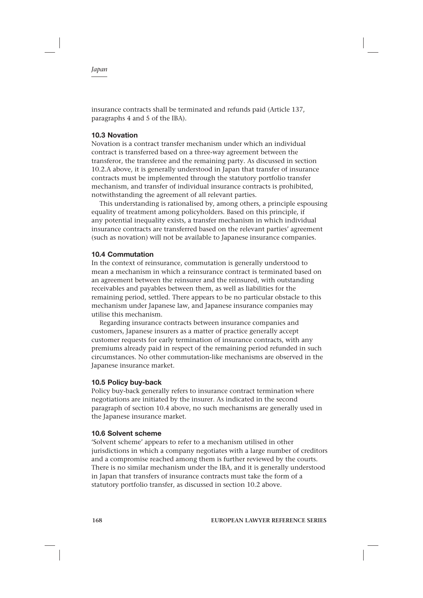insurance contracts shall be terminated and refunds paid (Article 137, paragraphs 4 and 5 of the IBA).

#### **10.3 Novation**

Novation is a contract transfer mechanism under which an individual contract is transferred based on a three-way agreement between the transferor, the transferee and the remaining party. As discussed in section 10.2.A above, it is generally understood in Japan that transfer of insurance contracts must be implemented through the statutory portfolio transfer mechanism, and transfer of individual insurance contracts is prohibited, notwithstanding the agreement of all relevant parties.

This understanding is rationalised by, among others, a principle espousing equality of treatment among policyholders. Based on this principle, if any potential inequality exists, a transfer mechanism in which individual insurance contracts are transferred based on the relevant parties' agreement (such as novation) will not be available to Japanese insurance companies.

#### **10.4 Commutation**

In the context of reinsurance, commutation is generally understood to mean a mechanism in which a reinsurance contract is terminated based on an agreement between the reinsurer and the reinsured, with outstanding receivables and payables between them, as well as liabilities for the remaining period, settled. There appears to be no particular obstacle to this mechanism under Japanese law, and Japanese insurance companies may utilise this mechanism.

Regarding insurance contracts between insurance companies and customers, Japanese insurers as a matter of practice generally accept customer requests for early termination of insurance contracts, with any premiums already paid in respect of the remaining period refunded in such circumstances. No other commutation-like mechanisms are observed in the Japanese insurance market.

#### **10.5 Policy buy-back**

Policy buy-back generally refers to insurance contract termination where negotiations are initiated by the insurer. As indicated in the second paragraph of section 10.4 above, no such mechanisms are generally used in the Japanese insurance market.

#### **10.6 Solvent scheme**

'Solvent scheme' appears to refer to a mechanism utilised in other jurisdictions in which a company negotiates with a large number of creditors and a compromise reached among them is further reviewed by the courts. There is no similar mechanism under the IBA, and it is generally understood in Japan that transfers of insurance contracts must take the form of a statutory portfolio transfer, as discussed in section 10.2 above.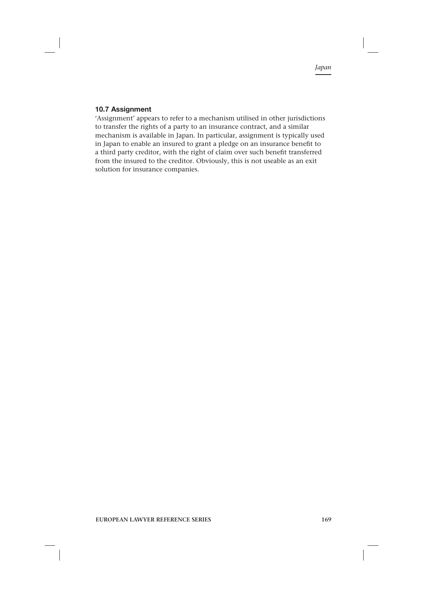### **10.7 Assignment**

'Assignment' appears to refer to a mechanism utilised in other jurisdictions to transfer the rights of a party to an insurance contract, and a similar mechanism is available in Japan. In particular, assignment is typically used in Japan to enable an insured to grant a pledge on an insurance benefit to a third party creditor, with the right of claim over such benefit transferred from the insured to the creditor. Obviously, this is not useable as an exit solution for insurance companies.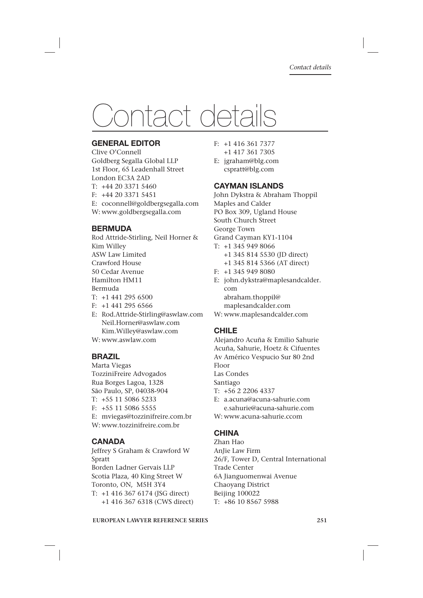# Contact details

# **GENERAL EDITOR**

Clive O'Connell Goldberg Segalla Global LLP 1st Floor, 65 Leadenhall Street London EC3A 2AD T: +44 20 3371 5460 F: +44 20 3371 5451 E: coconnell@goldbergsegalla.com W: www.goldbergsegalla.com

# **BERMUDA**

Rod Attride-Stirling, Neil Horner & Kim Willey ASW Law Limited Crawford House 50 Cedar Avenue Hamilton HM11 Bermuda  $T: +14412956500$ F: +1 441 295 6566

- E: Rod.Attride-Stirling@aswlaw.com Neil.Horner@aswlaw.com Kim.Willey@aswlaw.com W: www.aswlaw.com
- 

# **BRAZIL**

Marta Viegas TozziniFreire Advogados Rua Borges Lagoa, 1328 São Paulo, SP, 04038-904 T: +55 11 5086 5233 F: +55 11 5086 5555 E: mviegas@tozzinifreire.com.br W: www.tozzinifreire.com.br

# **CANADA**

Jeffrey S Graham & Crawford W Spratt Borden Ladner Gervais LLP Scotia Plaza, 40 King Street W Toronto, ON, M5H 3Y4 T: +1 416 367 6174 (JSG direct) +1 416 367 6318 (CWS direct)

- F: +1 416 361 7377 +1 417 361 7305
- E: jgraham@blg.com cspratt@blg.com

# **CAYMAN ISLANDS**

John Dykstra & Abraham Thoppil Maples and Calder PO Box 309, Ugland House South Church Street George Town Grand Cayman KY1-1104 T: +1 345 949 8066 +1 345 814 5530 (JD direct) +1 345 814 5366 (AT direct) F: +1 345 949 8080 E: john.dykstra@maplesandcalder.

 com abraham.thoppil@

maplesandcalder.com

# W: www.maplesandcalder.com

# **CHILE**

Alejandro Acuña & Emilio Sahurie Acuña, Sahurie, Hoetz & Cifuentes Av Américo Vespucio Sur 80 2nd Floor

Las Condes

Santiago

- T: +56 2 2206 4337
- E: a.acuna@acuna-sahurie.com e.sahurie@acuna-sahurie.com
- W: www.acuna-sahurie.ccom

# **CHINA**

Zhan Hao AnJie Law Firm 26/F, Tower D, Central International Trade Center 6A Jianguomenwai Avenue Chaoyang District Beijing 100022 T: +86 10 8567 5988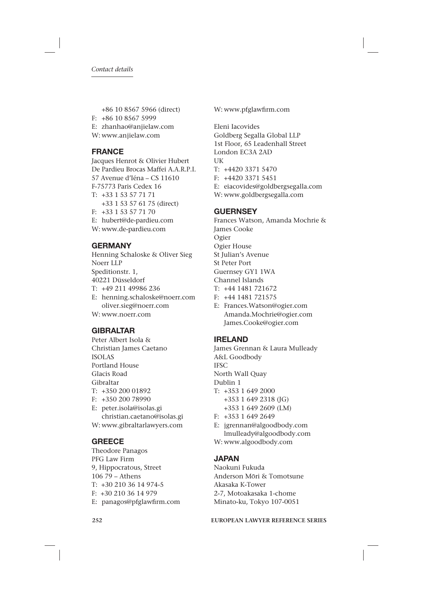+86 10 8567 5966 (direct) F: +86 10 8567 5999 E: zhanhao@anjielaw.com W: www.anjielaw.com

# **FRANCE**

Jacques Henrot & Olivier Hubert De Pardieu Brocas Maffei A.A.R.P.I. 57 Avenue d'Iéna – CS 11610 F-75773 Paris Cedex 16 T: +33 1 53 57 71 71 +33 1 53 57 61 75 (direct) F: +33 1 53 57 71 70 E: hubert@de-pardieu.com W: www.de-pardieu.com

# **GERMANY**

Henning Schaloske & Oliver Sieg Noerr LLP Speditionstr. 1, 40221 Düsseldorf T: +49 211 49986 236 E: henning.schaloske@noerr.com oliver.sieg@noerr.com

W: www.noerr.com

# **GIBRALTAR**

Peter Albert Isola & Christian James Caetano ISOLAS Portland House Glacis Road Gibraltar T: +350 200 01892 F: +350 200 78990 E: peter.isola@isolas.gi christian.caetano@isolas.gi W: www.gibraltarlawyers.com

# **GREECE**

Theodore Panagos PFG Law Firm 9, Hippocratous, Street 106 79 – Athens T: +30 210 36 14 974-5 F: +30 210 36 14 979 E: panagos@pfglawfirm.com W: www.pfglawfirm.com

Eleni Iacovides Goldberg Segalla Global LLP 1st Floor, 65 Leadenhall Street London EC3A 2AD UK  $T: +4420.3371.5470$ F: +4420 3371 5451 E: eiacovides@goldbergsegalla.com W: www.goldbergsegalla.com

# **GUERNSEY**

Frances Watson, Amanda Mochrie & James Cooke Ogier Ogier House St Julian's Avenue St Peter Port Guernsey GY1 1WA Channel Islands T: +44 1481 721672

- F: +44 1481 721575
- E: Frances.Watson@ogier.com Amanda.Mochrie@ogier.com James.Cooke@ogier.com

# **IRELAND**

James Grennan & Laura Mulleady A&L Goodbody IFSC North Wall Quay Dublin 1 T: +353 1 649 2000 +353 1 649 2318 (JG) +353 1 649 2609 (LM)

- F: +353 1 649 2649
- E: jgrennan@algoodbody.com lmulleady@algoodbody.com
- W: www.algoodbody.com

# **JAPAN**

Naokuni Fukuda Anderson Mōri & Tomotsune Akasaka K-Tower 2-7, Motoakasaka 1-chome Minato-ku, Tokyo 107-0051